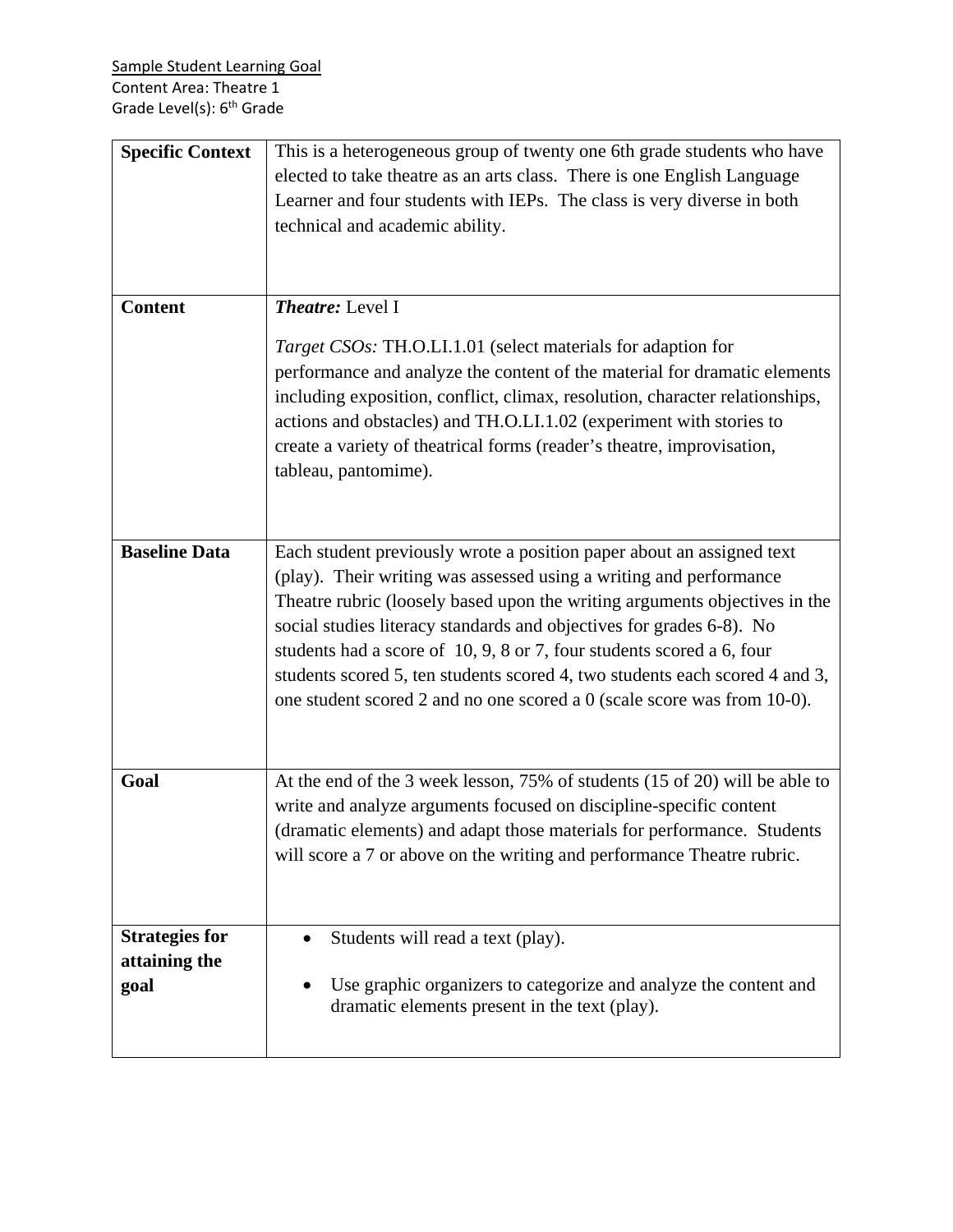| <b>Specific Context</b>                        | This is a heterogeneous group of twenty one 6th grade students who have<br>elected to take theatre as an arts class. There is one English Language<br>Learner and four students with IEPs. The class is very diverse in both<br>technical and academic ability.                                                                                                                                                                                                                                                                      |
|------------------------------------------------|--------------------------------------------------------------------------------------------------------------------------------------------------------------------------------------------------------------------------------------------------------------------------------------------------------------------------------------------------------------------------------------------------------------------------------------------------------------------------------------------------------------------------------------|
| <b>Content</b>                                 | <b>Theatre:</b> Level I<br><i>Target CSOs:</i> TH.O.LI.1.01 (select materials for adaption for<br>performance and analyze the content of the material for dramatic elements<br>including exposition, conflict, climax, resolution, character relationships,                                                                                                                                                                                                                                                                          |
|                                                | actions and obstacles) and TH.O.LI.1.02 (experiment with stories to<br>create a variety of theatrical forms (reader's theatre, improvisation,<br>tableau, pantomime).                                                                                                                                                                                                                                                                                                                                                                |
| <b>Baseline Data</b>                           | Each student previously wrote a position paper about an assigned text<br>(play). Their writing was assessed using a writing and performance<br>Theatre rubric (loosely based upon the writing arguments objectives in the<br>social studies literacy standards and objectives for grades 6-8). No<br>students had a score of 10, 9, 8 or 7, four students scored a 6, four<br>students scored 5, ten students scored 4, two students each scored 4 and 3,<br>one student scored 2 and no one scored a 0 (scale score was from 10-0). |
| Goal                                           | At the end of the 3 week lesson, 75% of students (15 of 20) will be able to<br>write and analyze arguments focused on discipline-specific content<br>(dramatic elements) and adapt those materials for performance. Students<br>will score a 7 or above on the writing and performance Theatre rubric.                                                                                                                                                                                                                               |
| <b>Strategies for</b><br>attaining the<br>goal | Students will read a text (play).<br>$\bullet$<br>Use graphic organizers to categorize and analyze the content and<br>dramatic elements present in the text (play).                                                                                                                                                                                                                                                                                                                                                                  |